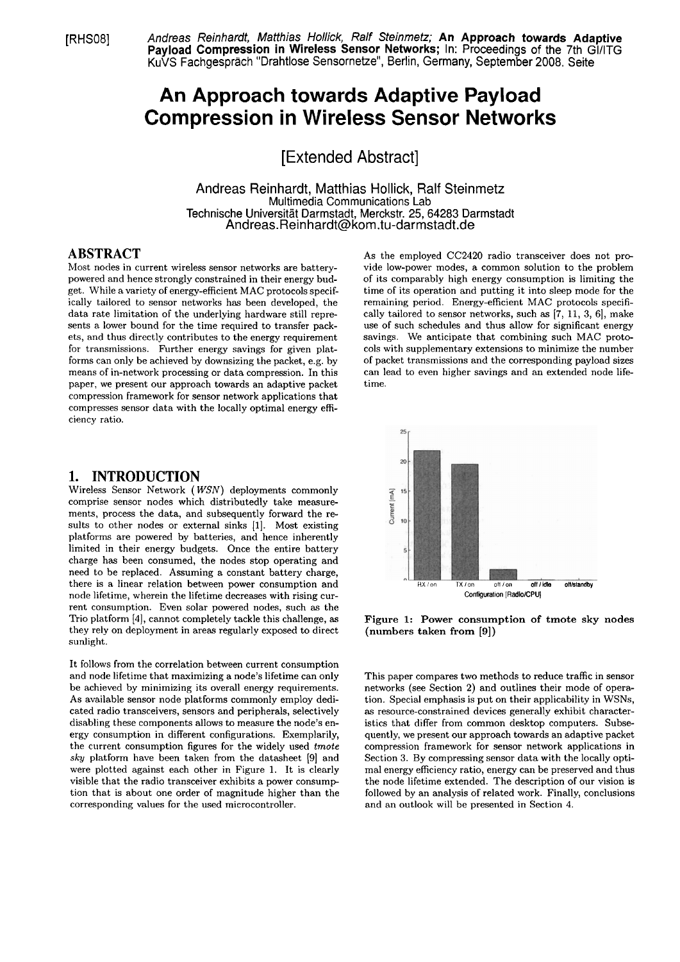[RHSO81 Andreas Reinhardt, Matthias Hollick, Ralf Steinmetz; **An Approach towards Adaptive Payload Compression in Wireless Sensor Networks; In: Proceedings of the 7th GI/ITG** KuVS Fachgespräch "Drahtlose Sensornetze", Berlin, Germany, September 2008. Seite

# **An Approach towards Adaptive Payload Compression in Wireless Sensor Networks**

[Extended Abstract]

Andreas Reinhardt, Matthias Hollick, Ralf Steinmetz Multimedia Communications Lab Technische Universität Darmstadt, Merckstr. 25, 64283 Darmstadt Andreas.Reinhardt@kom.tu-darmstadt.de

## **ABSTRACT**

Most nodes in current wireless sensor networks are batterypowered and hence strongly constrained in their energy budget. While a variety of energy-efficient MAC protocols specifically tailored to sensor networks has been developed, the data rate limitation of the underlying hardware still represents a lower bound for the time required to transfer packets, and thus directly contributes to the energy requirement for transmissions. Further energy savings for given platforms can only be achieved by downsizing the packet, e.g. by means of in-network processing or data compression. In this paper, we present our approach towards an adaptive packet compression framework for sensor network applications that compresses sensor data with the locally optimal energy efficiency ratio.

#### **1. INTRODUCTION**

Wireless Sensor Network ( WSN) deployments commonly comprise sensor nodes which distributedly take measurements, process the data, and subsequently forward the results to other nodes or external sinks [I]. Most existing platforms are powered by batteries, and hence inherently limited in their energy budgets. Once the entire battery charge has been consumed, the nodes stop operating and need to be replaced. Assuming a constant battery charge, there is a linear relation between power consumption and node lifetime, wherein the lifetime decreases with rising current consumption. Even solar powered nodes, such as the Trio platform [4], cannot completely tackle this challenge, as they rely on deployment in areas regularly exposed to direct sunlight.

It follows from the correlation between current consumption and node lifetime that maximizing a node's lifetime can only be achieved by minimizing its overall energy requirements. As available sensor node platforms commonly employ dedicated radio transceivers, sensors and peripherals, selectively disabling these components allows to measure the node's energy consumption in different configurations. Exemplarily, the current consumption figures for the widely used *tmote* sky platform have been taken from the datasheet **(91** and were plotted against each other in Figure 1. It is clearly visible that the radio transceiver exhibits a power consump tion that is about one order of magnitude higher than the corresponding values for the used microcontroller.

As the employed CC2420 radio transceiver does not provide low-power modes, a common solution to the problem of its comparably high energy consumption is limiting the time of its operation and putting it into sleep mode for the remaining period. Energy-efficient MAC protocols specifically tailored to sensor networks, such as [7, 11, 3, 6], make use of such schedules and thus allow for significant energy savings. We anticipate that combining such MAC protocols with supplementary extensions to minimize the number of packet transmissions and the corresponding payload sizes can lead to even higher savings and an extended node lifetime.



Figure 1: Power consumption of tmote sky nodes (numbers taken from **[9])** 

This paper compares two methods to reduce traffic in sensor networks (see Section 2) and outlines their mode of Operation. Special emphasis is put on their applicability in WSNs, **as** resource-constrained devices generally exhibit characteristics that differ from common desktop computers. Subsequently, we present our approach towards an adaptive packet compression framework for sensor network applications in Section **3.** By compressing sensor data with the locally optimal energy efficiency ratio, energy can be preserved and thus the node lifetime extended. The description of our vision is followed by an analysis of related work. Finally, conclusions and an outlook will be presented in Section 4.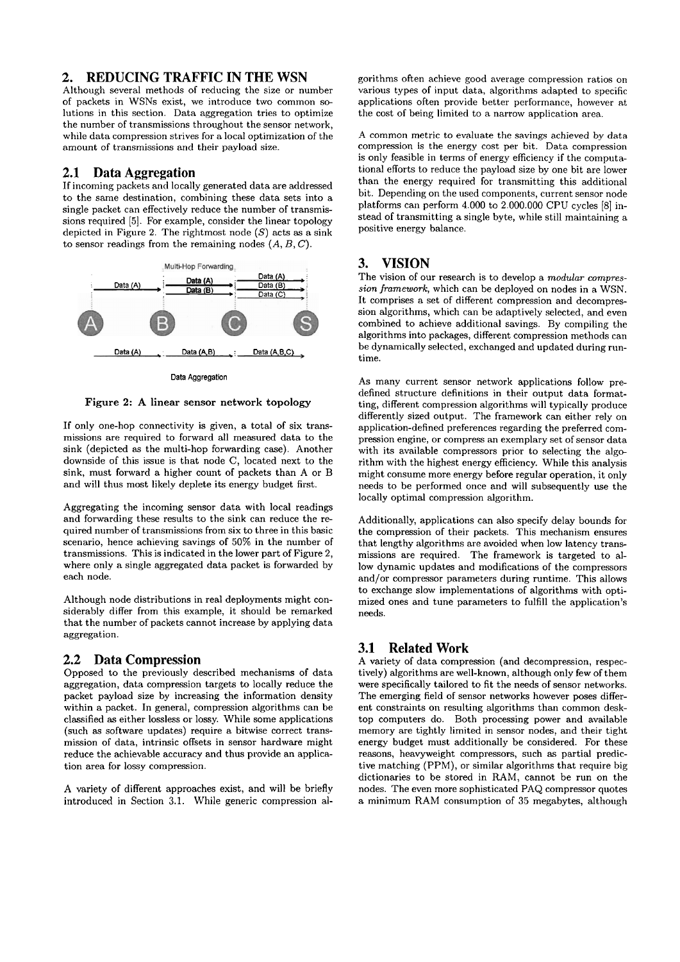#### **2. REDUCING TRAFFIC IN THE WSN**

Although several methods of reducing the size or number of packets in WSNs exist, we introduce two common solutions in this section. Data aggregation tries to optimize the number of transmissions throughout the sensor network. while data compression strives for a local optimization of the amount of transmissions and their payload size.

#### **2.1 Data Aggregation**

If incoming packets and locally generated data are addressed to the same destination, combining these data sets into a single packet can effectively reduce the number of transmissions required [5]. For example, consider the linear topology depicted in Figure 2. The rightmost node  $(S)$  acts as a sink to sensor readings from the remaining nodes  $(A, B, C)$ .



Figure 2: **A** linear sensor network topology

If only one-hop connectivity is given, a total of six transmissions are required to forward all measured data to the sink (depicted as the multi-hop forwarding case). Another downside of this issue is that node C, located next to the sink, must forward a higher count of packets than A or B and will thus most likely deplete its energy budget first.

Aggregating the incoming sensor data with local readings and forwarding these results to the sink can reduce the required number of transmissions from six to three in this basic scenario, hence achieving savings of 50% in the number of transmissions. This is indicated in the lower part of Figure 2, where only a single aggregated data packet is forwarded by each node.

Although node distributions in real deployments might considerably differ from this example, it should be remarked that the number of packets cannot increase by applying data aggregation.

## **2.2 Data Compression**

Opposed to the previously described mechanisms of data aggregation, data compression targets to locally reduce the packet payload size by increasing the information density within a packet. In general, compression algorithms can be classified **as** either lossless or lossy. While some applications (such as software updates) require a bitwise correct transmission of data, intrinsic offsets in sensor hardware might reduce the achievable accuracy and thus provide an application area for lossy compression.

A variety of different approaches exist, and will be briefly introduced in Section 3.1. While generic compression algorithms often achieve good average compression ratios on various types of input data, algorithms adapted to specific applications often provide better performance, however at the cost of being limited to a narrow application area.

A common metric to evaluate the savings achieved by data compression is the energy cost per bit. Data compression is only feasible in terms of energy efficiency if the computational efforts to reduce the payload size by one bit are lower than the energy required for transmitting this additional bit. Depending on the used components, current sensor node platforms can perform 4.000 to 2.000.000 CPU cycles [8] instead of transmitting a single byte, while still maintaining a positive energy balance.

# **3. VISION**

The vision of our research is to develop a *modular compression framework,* which can be deployed on nodes in a WSN. It comprises a set of different compression and decompression algorithms, which can be adaptively selected, and even combined to achieve additional savings. By compiling the algorithms into packages, different compression methods can be dynamically selected, exchanged and updated during runtime.

As many current sensor network applications follow predefined structure definitions in their output data formatting, different compression algorithms will typically produce differently sized output. The framework can either rely on application-defined preferences regarding the preferred compression engine, or compress an exemplary set of sensor data with its available compressors prior to selecting the algorithm with the highest energy efficiency. While this analysis might consume more energy before regular operation, it only needs to be performed once and will subsequently use the locally optimal compression algorithm.

Additionally, applications can also specify delay bounds for the compression of their packets. This mechanism ensures that lengthy algorithms are avoided when low latency transmissions are required. The framework is targeted to allow dynamic updates and modifications of the compressors and/or compressor parameters during runtime. This allows to exchange slow implementations of algorithms with optimized ones and tune parameters to fulfill the application's needs.

## **3.1 Related Work**

A variety of data compression (and decompression, respectively) algorithms are well-known, although only few of them were specifically tailored to fit the needs of sensor networks. The emerging field of sensor networks however poses different constraints on resulting algorithms than common desktop Computers do. Both processing power and available memory are tightly limited in sensor nodes, and their tight energy budget must additionally be considered. For these reasons, heavyweight compressors, such **as** partial predictive matching (PPM), or similar algorithms that require big dictionaries to be stored in RAM, cannot be run on the nodes. The even more sophisticated PAQ compressor quotes a minimum RAM consumption of 35 megabytes, although